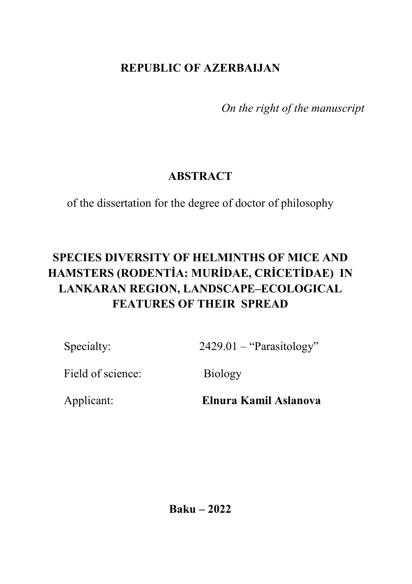# **REPUBLIC OF AZERBAIJAN**

*On the right of the manuscript*

# **ABSTRACT**

of the dissertation for the degree of doctor of philosophy

# **SPECIES DIVERSITY OF HELMINTHS OF MICE AND HAMSTERS (RODENTİA: MURİDAE, CRİCETİDAE) IN LANKARAN REGION, LANDSCAPE–ECOLOGICAL FEATURES OF THEIR SPREAD**

Specialty: 2429.01 – "Parasitology"

Field of science: Biology

Applicant: **Elnura Kamil Aslanova**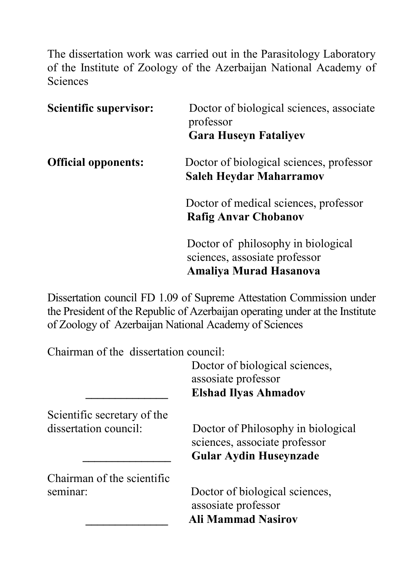The dissertation work was carried out in the Parasitology Laboratory of the Institute of Zoology of the Azerbaijan National Academy of Sciences

| <b>Scientific supervisor:</b> | Doctor of biological sciences, associate<br>professor<br><b>Gara Huseyn Fataliyev</b>         |  |  |
|-------------------------------|-----------------------------------------------------------------------------------------------|--|--|
| <b>Official opponents:</b>    | Doctor of biological sciences, professor<br>Saleh Heydar Maharramov                           |  |  |
|                               | Doctor of medical sciences, professor<br><b>Rafig Anvar Chobanov</b>                          |  |  |
|                               | Doctor of philosophy in biological<br>sciences, assosiate professor<br>Amaliya Murad Hasanova |  |  |

Dissertation council FD 1.09 of Supreme Attestation Commission under the President of the Republic of Azerbaijan operating under at the Institute of Zoology of Azerbaijan National Academy of Sciences

Chairman of the dissertation council:

Doctor of biological sciences, assosiate professor  **\_\_\_\_\_\_\_\_\_\_\_\_\_\_ Elshad Ilyas Ahmadov** 

Scientific secretary of the

Chairman of the scientific

dissertation council: Doctor of Philosophy in biological sciences, associate professor  **\_\_\_\_\_\_\_\_\_\_\_\_\_\_\_ Gular Aydin Huseynzade** 

seminar: Doctor of biological sciences, assosiate professor  **\_\_\_\_\_\_\_\_\_\_\_\_\_\_ Ali Mammad Nasirov**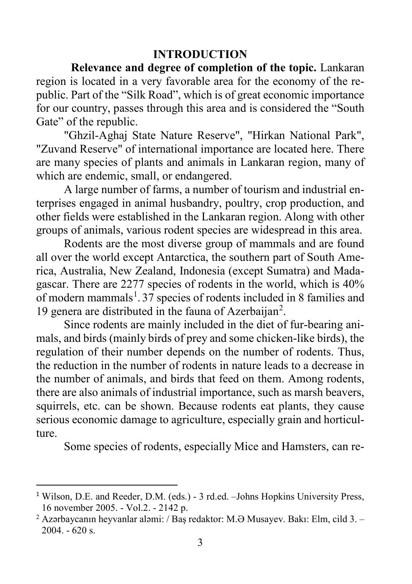#### **INTRODUCTION**

**Relevance and degree of completion of the topic.** Lankaran region is located in a very favorable area for the economy of the republic. Part of the "Silk Road", which is of great economic importance for our country, passes through this area and is considered the "South Gate" of the republic.

"Ghzil-Aghaj State Nature Reserve", "Hirkan National Park", "Zuvand Reserve" of international importance are located here. There are many species of plants and animals in Lankaran region, many of which are endemic, small, or endangered.

A large number of farms, a number of tourism and industrial enterprises engaged in animal husbandry, poultry, crop production, and other fields were established in the Lankaran region. Along with other groups of animals, various rodent species are widespread in this area.

Rodents are the most diverse group of mammals and are found all over the world except Antarctica, the southern part of South America, Australia, New Zealand, Indonesia (except Sumatra) and Madagascar. There are 2277 species of rodents in the world, which is 40% of modern mammals<sup>[1](#page-2-0)</sup>.37 species of rodents included in 8 families and 19 genera are distributed in the fauna of Azerbaijan<sup>[2](#page-2-1)</sup>.

Since rodents are mainly included in the diet of fur-bearing animals, and birds (mainly birds of prey and some chicken-like birds), the regulation of their number depends on the number of rodents. Thus, the reduction in the number of rodents in nature leads to a decrease in the number of animals, and birds that feed on them. Among rodents, there are also animals of industrial importance, such as marsh beavers, squirrels, etc. can be shown. Because rodents eat plants, they cause serious economic damage to agriculture, especially grain and horticulture.

Some species of rodents, especially Mice and Hamsters, can re-

<span id="page-2-0"></span><sup>&</sup>lt;sup>1</sup> Wilson, D.E. and Reeder, D.M. (eds.) - 3 rd.ed. –Johns Hopkins University Press, 16 november 2005. - Vol.2. - 2142 p.

<span id="page-2-1"></span><sup>&</sup>lt;sup>2</sup> Azərbaycanın heyvanlar aləmi: / Bas redaktor: M.Ə Musayev. Bakı: Elm, cild 3. – 2004. - 620 s.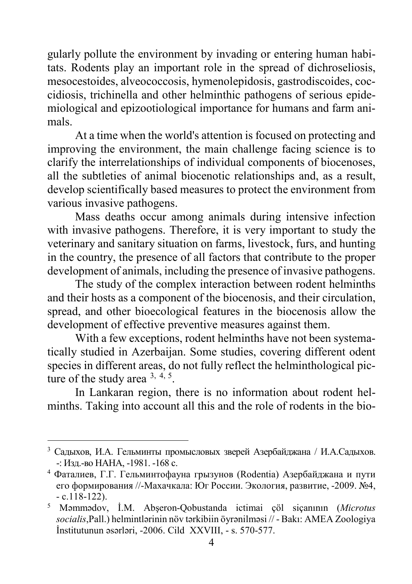gularly pollute the environment by invading or entering human habitats. Rodents play an important role in the spread of dichroseliosis, mesocestoides, alveococcosis, hymenolepidosis, gastrodiscoides, coccidiosis, trichinella and other helminthic pathogens of serious epidemiological and epizootiological importance for humans and farm animals.

At a time when the world's attention is focused on protecting and improving the environment, the main challenge facing science is to clarify the interrelationships of individual components of biocenoses, all the subtleties of animal biocenotic relationships and, as a result, develop scientifically based measures to protect the environment from various invasive pathogens.

Mass deaths occur among animals during intensive infection with invasive pathogens. Therefore, it is very important to study the veterinary and sanitary situation on farms, livestock, furs, and hunting in the country, the presence of all factors that contribute to the proper development of animals, including the presence of invasive pathogens.

The study of the complex interaction between rodent helminths and their hosts as a component of the biocenosis, and their circulation, spread, and other bioecological features in the biocenosis allow the development of effective preventive measures against them.

With a few exceptions, rodent helminths have not been systematically studied in Azerbaijan. Some studies, covering different odent species in different areas, do not fully reflect the helminthological picture of the study area  $3, 4, 5$  $3, 4, 5$  $3, 4, 5$  $3, 4, 5$  $3, 4, 5$ .

In Lankaran region, there is no information about rodent helminths. Taking into account all this and the role of rodents in the bio-

 $\overline{a}$ 

<span id="page-3-0"></span><sup>3</sup> Садыхов, И.А. Гельминты промысловых зверей Азербайджана / И.А.Садыхов. -: Изд.-во НАНА, -1981. -168 с.

<span id="page-3-1"></span><sup>4</sup> Фаталиев, Г.Г. Гельминтофауна грызунов (Rodentia) Азербайджана и пути его формирования //-Махачкала: Юг России. Экология, развитие, -2009. №4, - с.118-122).

<span id="page-3-2"></span><sup>5</sup> Məmmədov, İ.M. Abşeron-Qobustanda ictimai çöl siçanının (*Microtus socialis*,Pall.) helmintlərinin növ tərkibiin öyrənilməsi // - Bakı: AMEA Zoologiya İnstitutunun əsərləri, -2006. Cild XXVIII, - s. 570-577.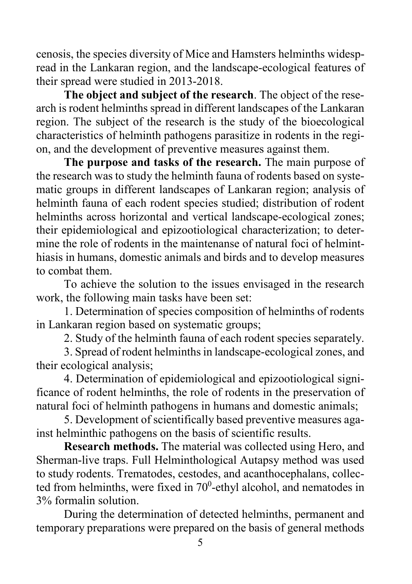cenosis, the species diversity of Mice and Hamsters helminths widespread in the Lankaran region, and the landscape-ecological features of their spread were studied in 2013-2018.

**The object and subject of the research**. The object of the research is rodent helminths spread in different landscapes of the Lankaran region. The subject of the research is the study of the bioecological characteristics of helminth pathogens parasitize in rodents in the region, and the development of preventive measures against them.

**The purpose and tasks of the research.** The main purpose of the research was to study the helminth fauna of rodents based on systematic groups in different landscapes of Lankaran region; analysis of helminth fauna of each rodent species studied; distribution of rodent helminths across horizontal and vertical landscape-ecological zones; their epidemiological and epizootiological characterization; to determine the role of rodents in the maintenanse of natural foci of helminthiasis in humans, domestic animals and birds and to develop measures to combat them.

To achieve the solution to the issues envisaged in the research work, the following main tasks have been set:

1. Determination of species composition of helminths of rodents in Lankaran region based on systematic groups;

2. Study of the helminth fauna of each rodent species separately.

3. Spread of rodent helminths in landscape-ecological zones, and their ecological analysis;

4. Determination of epidemiological and epizootiological significance of rodent helminths, the role of rodents in the preservation of natural foci of helminth pathogens in humans and domestic animals;

5. Development of scientifically based preventive measures against helminthic pathogens on the basis of scientific results.

**Research methods.** The material was collected using Hero, and Sherman-live traps. Full Helminthological Autapsy method was used to study rodents. Trematodes, cestodes, and acanthocephalans, collected from helminths, were fixed in  $70^0$ -ethyl alcohol, and nematodes in 3% formalin solution.

During the determination of detected helminths, permanent and temporary preparations were prepared on the basis of general methods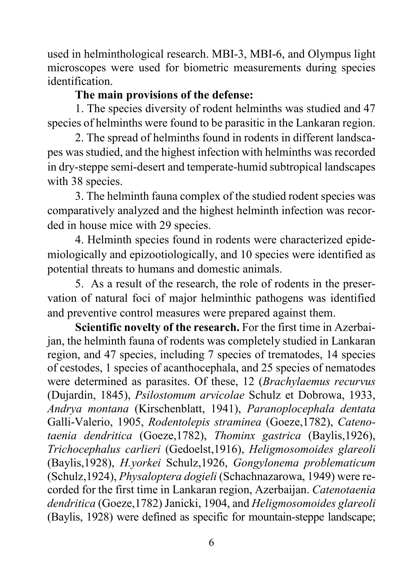used in helminthological research. MBI-3, MBI-6, and Olympus light microscopes were used for biometric measurements during species identification.

### **The main provisions of the defense:**

1. The species diversity of rodent helminths was studied and 47 species of helminths were found to be parasitic in the Lankaran region.

2. The spread of helminths found in rodents in different landscapes was studied, and the highest infection with helminths was recorded in dry-steppe semi-desert and temperate-humid subtropical landscapes with 38 species.

3. The helminth fauna complex of the studied rodent species was comparatively analyzed and the highest helminth infection was recorded in house mice with 29 species.

4. Helminth species found in rodents were characterized epidemiologically and epizootiologically, and 10 species were identified as potential threats to humans and domestic animals.

5. As a result of the research, the role of rodents in the preservation of natural foci of major helminthic pathogens was identified and preventive control measures were prepared against them.

**Scientific novelty of the research.** For the first time in Azerbaijan, the helminth fauna of rodents was completely studied in Lankaran region, and 47 species, including 7 species of trematodes, 14 species of cestodes, 1 species of acanthocephala, and 25 species of nematodes were determined as parasites. Of these, 12 (*Brachylaemus recurvus* (Dujardin, 1845), *Psilostomum arvicolae* Schulz et Dobrowa, 1933, *Andrya montana* (Kirschenblatt, 1941), *Paranoplocephala dentata* Galli-Valerio, 1905, *Rodentolepis straminea* (Goeze,1782), *Catenotaenia dendritica* (Goeze,1782), *Thominx gastrica* (Baylis,1926), *Trichocephalus carlieri* (Gedoelst,1916), *Heligmosomoides glareoli* (Baylis,1928), *H.yorkei* Schulz,1926, *Gongylonema problematicum*  (Schulz,1924), *Physaloptera dogieli* (Schachnazarowa, 1949) were recorded for the first time in Lankaran region, Azerbaijan. *Catenotaenia dendritica* (Goeze,1782) Janicki, 1904, and *Heligmosomoides glareoli* (Baylis, 1928) were defined as specific for mountain-steppe landscape;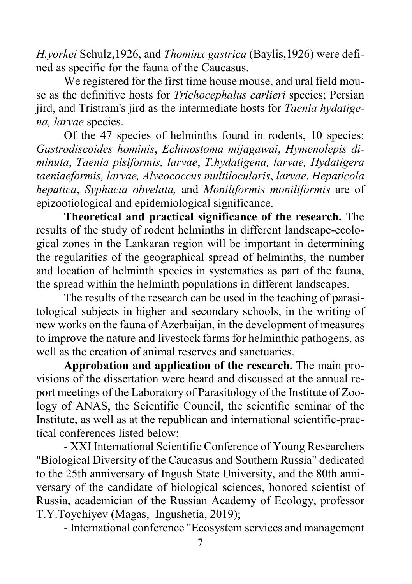*H.yorkei* Schulz,1926, and *Thominx gastrica* (Baylis,1926) were defined as specific for the fauna of the Caucasus.

We registered for the first time house mouse, and ural field mouse as the definitive hosts for *Trichocephalus carlieri* species; Persian jird, and Tristram's jird as the intermediate hosts for *Taenia hydatigena, larvae* species.

Of the 47 species of helminths found in rodents, 10 species: *Gastrodiscoides hominis*, *Echinostoma mijagawai*, *Hymenolepis diminuta*, *Taenia pisiformis, larvae*, *T.hydatigena, larvae, Hydatigera taeniaeformis, larvae, Alveococcus multilocularis*, *larvae*, *Hepaticola hepatica*, *Syphacia obvelata,* and *Moniliformis moniliformis* are of epizootiological and epidemiological significance.

**Theoretical and practical significance of the research.** The results of the study of rodent helminths in different landscape-ecological zones in the Lankaran region will be important in determining the regularities of the geographical spread of helminths, the number and location of helminth species in systematics as part of the fauna, the spread within the helminth populations in different landscapes.

The results of the research can be used in the teaching of parasitological subjects in higher and secondary schools, in the writing of new works on the fauna of Azerbaijan, in the development of measures to improve the nature and livestock farms for helminthic pathogens, as well as the creation of animal reserves and sanctuaries.

**Approbation and application of the research.** The main provisions of the dissertation were heard and discussed at the annual report meetings of the Laboratory of Parasitology of the Institute of Zoology of ANAS, the Scientific Council, the scientific seminar of the Institute, as well as at the republican and international scientific-practical conferences listed below:

- XXI International Scientific Conference of Young Researchers "Biological Diversity of the Caucasus and Southern Russia" dedicated to the 25th anniversary of Ingush State University, and the 80th anniversary of the candidate of biological sciences, honored scientist of Russia, academician of the Russian Academy of Ecology, professor T.Y.Toychiyev (Magas, Ingushetia, 2019);

- International conference "Ecosystem services and management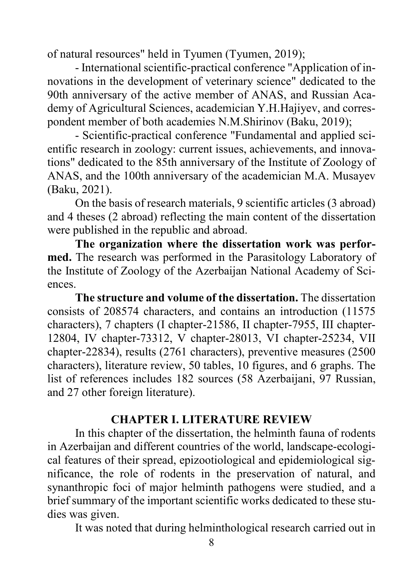of natural resources" held in Tyumen (Tyumen, 2019);

- International scientific-practical conference "Application of innovations in the development of veterinary science" dedicated to the 90th anniversary of the active member of ANAS, and Russian Academy of Agricultural Sciences, academician Y.H.Hajiyev, and correspondent member of both academies N.M.Shirinov (Baku, 2019);

- Scientific-practical conference "Fundamental and applied scientific research in zoology: current issues, achievements, and innovations" dedicated to the 85th anniversary of the Institute of Zoology of ANAS, and the 100th anniversary of the academician M.A. Musayev (Baku, 2021).

On the basis of research materials, 9 scientific articles (3 abroad) and 4 theses (2 abroad) reflecting the main content of the dissertation were published in the republic and abroad.

**The organization where the dissertation work was performed.** The research was performed in the Parasitology Laboratory of the Institute of Zoology of the Azerbaijan National Academy of Sciences.

**The structure and volume of the dissertation.** The dissertation consists of 208574 characters, and contains an introduction (11575 characters), 7 chapters (I chapter-21586, II chapter-7955, III chapter-12804, IV chapter-73312, V chapter-28013, VI chapter-25234, VII chapter-22834), results (2761 characters), preventive measures (2500 characters), literature review, 50 tables, 10 figures, and 6 graphs. The list of references includes 182 sources (58 Azerbaijani, 97 Russian, and 27 other foreign literature).

#### **CHAPTER I. LITERATURE REVIEW**

In this chapter of the dissertation, the helminth fauna of rodents in Azerbaijan and different countries of the world, landscape-ecological features of their spread, epizootiological and epidemiological significance, the role of rodents in the preservation of natural, and synanthropic foci of major helminth pathogens were studied, and a brief summary of the important scientific works dedicated to these studies was given.

It was noted that during helminthological research carried out in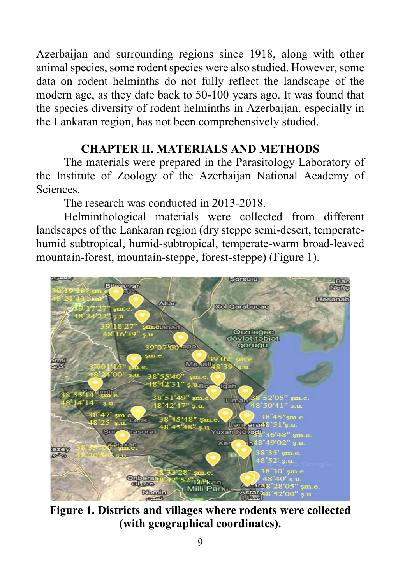Azerbaijan and surrounding regions since 1918, along with other animal species, some rodent species were also studied. However, some data on rodent helminths do not fully reflect the landscape of the modern age, as they date back to 50-100 years ago. It was found that the species diversity of rodent helminths in Azerbaijan, especially in the Lankaran region, has not been comprehensively studied.

# **CHAPTER II. MATERIALS AND METHODS**

The materials were prepared in the Parasitology Laboratory of the Institute of Zoology of the Azerbaijan National Academy of Sciences.

The research was conducted in 2013-2018.

Helminthological materials were collected from different landscapes of the Lankaran region (dry steppe semi-desert, temperatehumid subtropical, humid-subtropical, temperate-warm broad-leaved mountain-forest, mountain-steppe, forest-steppe) (Figure 1).



**Figure 1. Districts and villages where rodents were collected (with geographical coordinates).**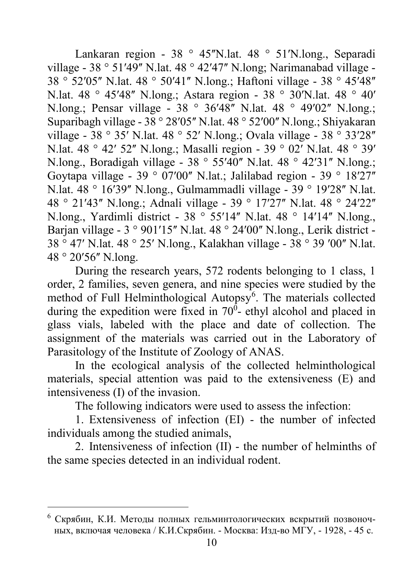Lankaran region - 38 ° 45"N.lat. 48 ° 51'N.long., Separadi village - 38  $\degree$  51'49" N.lat. 48  $\degree$  42'47" N.long; Narimanabad village -38 ° 52'05" N.lat. 48 ° 50'41" N.long.; Haftoni village - 38 ° 45'48" N.lat. 48 ° 45ʹ48ʺ N.long.; Astara region - 38 ° 30ʹN.lat. 48 ° 40ʹ N.long.; Pensar village - 38 ° 36'48" N.lat. 48 ° 49'02" N.long.; Suparibagh village -  $38^\circ 28'05''$  N.lat.  $48^\circ 52'00''$  N.long.; Shiyakaran village - 38 ° 35' N.lat. 48 ° 52' N.long.; Ovala village - 38 ° 33'28" N.lat. 48 ° 42′ 52″ N.long.; Masalli region - 39 ° 02′ N.lat. 48 ° 39′ N.long., Boradigah village -  $38^\circ$  55'40" N.lat.  $48^\circ$  42'31" N.long.; Goytapa village - 39 ° 07'00" N.lat.; Jalilabad region - 39 ° 18'27" N.lat. 48 ° 16'39" N.long., Gulmammadli village - 39 ° 19'28" N.lat. 48 ° 21'43" N.long.; Adnali village - 39 ° 17'27" N.lat. 48 ° 24'22" N.long., Yardimli district - 38 ° 55'14" N.lat. 48 ° 14'14" N.long., Barian village -  $3°901'15''$  N.lat.  $48°24'00''$  N.long., Lerik district -38 ° 47ʹ N.lat. 48 ° 25ʹ N.long., Kalakhan village - 38 ° 39 ʹ00ʺ N.lat. 48 $^{\circ}$  20'56" N.long.

During the research years, 572 rodents belonging to 1 class, 1 order, 2 families, seven genera, and nine species were studied by the method of Full Helminthological Autopsy<sup>[6](#page-9-0)</sup>. The materials collected during the expedition were fixed in  $70^0$ - ethyl alcohol and placed in glass vials, labeled with the place and date of collection. The assignment of the materials was carried out in the Laboratory of Parasitology of the Institute of Zoology of ANAS.

In the ecological analysis of the collected helminthological materials, special attention was paid to the extensiveness (E) and intensiveness (I) of the invasion.

The following indicators were used to assess the infection:

1. Extensiveness of infection (EI) - the number of infected individuals among the studied animals,

2. Intensiveness of infection (II) - the number of helminths of the same species detected in an individual rodent.

 $\overline{a}$ 

<span id="page-9-0"></span> $6$  Скрябин, К.И. Методы полных гельминтологических вскрытий позвоночных, включая человека / К.И.Скрябин. - Москва: Изд-во МГУ, - 1928, - 45 с.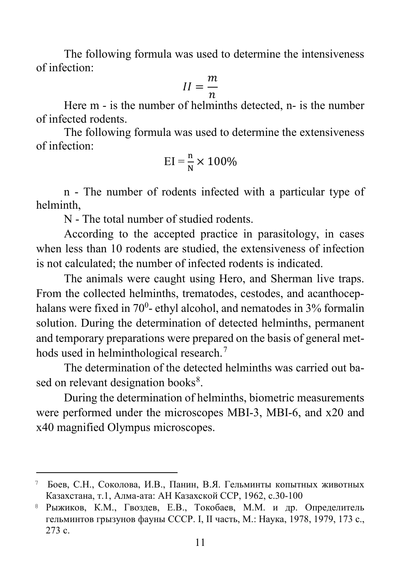The following formula was used to determine the intensiveness of infection:

$$
II = \frac{m}{n}
$$

Here m - is the number of helminths detected, n- is the number of infected rodents.

The following formula was used to determine the extensiveness of infection:

$$
EI = \frac{n}{N} \times 100\%
$$

n - The number of rodents infected with a particular type of helminth,

N - The total number of studied rodents.

According to the accepted practice in parasitology, in cases when less than 10 rodents are studied, the extensiveness of infection is not calculated; the number of infected rodents is indicated.

The animals were caught using Hero, and Sherman live traps. From the collected helminths, trematodes, cestodes, and acanthocephalans were fixed in 70<sup>0</sup>- ethyl alcohol, and nematodes in 3% formalin solution. During the determination of detected helminths, permanent and temporary preparations were prepared on the basis of general met-hods used in helminthological research.<sup>[7](#page-10-0)</sup>

The determination of the detected helminths was carried out ba-sed on relevant designation books<sup>[8](#page-10-1)</sup>.

During the determination of helminths, biometric measurements were performed under the microscopes MBI-3, MBI-6, and x20 and x40 magnified Olympus microscopes.

l

<span id="page-10-0"></span><sup>7</sup> Боев, С.Н., Соколова, И.В., Панин, В.Я. Гельминты копытных животных Казахстана, т.1, Алма-ата: АН Казахской ССР, 1962, с.30-100

<span id="page-10-1"></span><sup>8</sup> Рыжиков, К.М., Гвоздев, Е.В., Токобаев, М.М. и др. Определитель гельминтов грызунов фауны СССР. I, II часть, М.: Наука, 1978, 1979, 173 с., 273 с.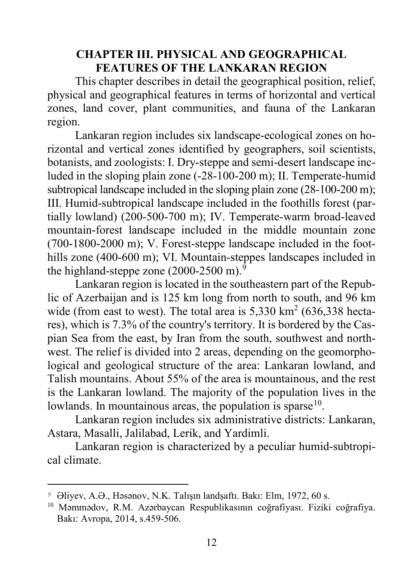#### **CHAPTER III. PHYSICAL AND GEOGRAPHICAL FEATURES OF THE LANKARAN REGION**

This chapter describes in detail the geographical position, relief, physical and geographical features in terms of horizontal and vertical zones, land cover, plant communities, and fauna of the Lankaran region.

Lankaran region includes six landscape-ecological zones on horizontal and vertical zones identified by geographers, soil scientists, botanists, and zoologists: I. Dry-steppe and semi-desert landscape included in the sloping plain zone (-28-100-200 m); II. Temperate-humid subtropical landscape included in the sloping plain zone (28-100-200 m); III. Humid-subtropical landscape included in the foothills forest (partially lowland) (200-500-700 m); IV. Temperate-warm broad-leaved mountain-forest landscape included in the middle mountain zone (700-1800-2000 m); V. Forest-steppe landscape included in the foothills zone (400-600 m); VI. Mountain-steppes landscapes included in the highland-steppe zone  $(2000-2500 \text{ m})$ .

Lankaran region is located in the southeastern part of the Republic of Azerbaijan and is 125 km long from north to south, and 96 km wide (from east to west). The total area is  $5.330 \text{ km}^2$  (636.338 hectares), which is 7.3% of the country's territory. It is bordered by the Caspian Sea from the east, by Iran from the south, southwest and northwest. The relief is divided into 2 areas, depending on the geomorphological and geological structure of the area: Lankaran lowland, and Talish mountains. About 55% of the area is mountainous, and the rest is the Lankaran lowland. The majority of the population lives in the lowlands. In mountainous areas, the population is sparse  $10$ .

Lankaran region includes six administrative districts: Lankaran, Astara, Masalli, Jalilabad, Lerik, and Yardimli.

Lankaran region is characterized by a peculiar humid-subtropical climate.

 $\overline{a}$ 

<span id="page-11-0"></span><sup>9</sup> Əliyev, A.Ə., Həsənov, N.K. Talışın landşaftı. Bakı: Elm, 1972, 60 s.

<span id="page-11-1"></span><sup>10</sup> Məmmədov, R.M. Azərbaycan Respublikasının coğrafiyası. Fiziki coğrafiya. Bakı: Avropa, 2014, s.459-506.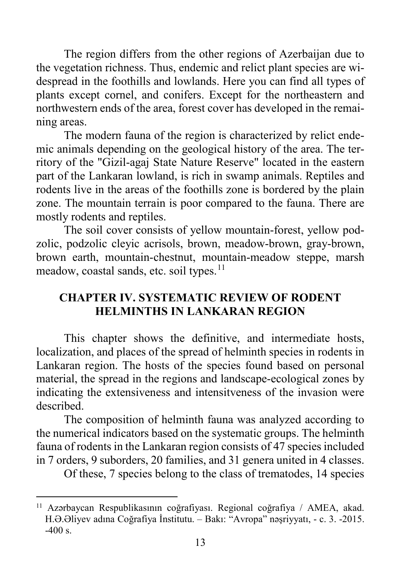The region differs from the other regions of Azerbaijan due to the vegetation richness. Thus, endemic and relict plant species are widespread in the foothills and lowlands. Here you can find all types of plants except cornel, and conifers. Except for the northeastern and northwestern ends of the area, forest cover has developed in the remaining areas.

The modern fauna of the region is characterized by relict endemic animals depending on the geological history of the area. The territory of the "Gizil-agaj State Nature Reserve" located in the eastern part of the Lankaran lowland, is rich in swamp animals. Reptiles and rodents live in the areas of the foothills zone is bordered by the plain zone. The mountain terrain is poor compared to the fauna. There are mostly rodents and reptiles.

The soil cover consists of yellow mountain-forest, yellow podzolic, podzolic cleyic acrisols, brown, meadow-brown, gray-brown, brown earth, mountain-chestnut, mountain-meadow steppe, marsh meadow, coastal sands, etc. soil types.<sup>[11](#page-12-0)</sup>

# **CHAPTER IV. SYSTEMATIC REVIEW OF RODENT HELMINTHS IN LANKARAN REGION**

This chapter shows the definitive, and intermediate hosts, localization, and places of the spread of helminth species in rodents in Lankaran region. The hosts of the species found based on personal material, the spread in the regions and landscape-ecological zones by indicating the extensiveness and intensitveness of the invasion were described.

The composition of helminth fauna was analyzed according to the numerical indicators based on the systematic groups. The helminth fauna of rodents in the Lankaran region consists of 47 species included in 7 orders, 9 suborders, 20 families, and 31 genera united in 4 classes.

Of these, 7 species belong to the class of trematodes, 14 species

 $\overline{\phantom{a}}$ 

<span id="page-12-0"></span><sup>11</sup> Azərbaycan Respublikasının coğrafiyası. Regional coğrafiya / AMEA, akad. H.Ə.Əliyev adına Coğrafiya İnstitutu. – Bakı: "Avropa" nəşriyyatı, - c. 3. -2015. -400 s.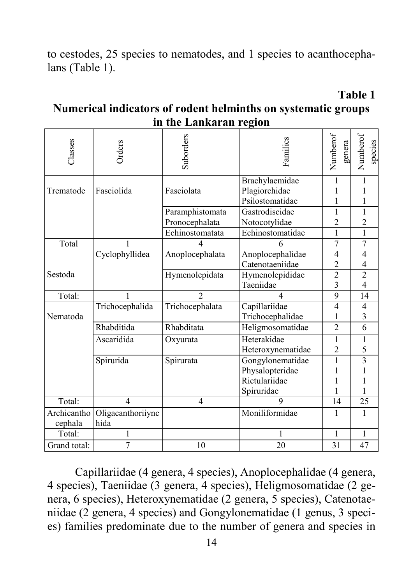to cestodes, 25 species to nematodes, and 1 species to acanthocephalans (Table 1).

**Table 1**

#### **Numerical indicators of rodent helminths on systematic groups in the Lankaran region**

| Classes                | Orders                                       | Suborders                         | Families          | Numberof<br>genera | Numberof<br>species      |
|------------------------|----------------------------------------------|-----------------------------------|-------------------|--------------------|--------------------------|
|                        |                                              |                                   | Brachylaemidae    | 1                  | 1                        |
| Trematode              | Fasciolida                                   | Fasciolata                        | Plagiorchidae     |                    |                          |
|                        |                                              |                                   | Psilostomatidae   | 1                  |                          |
|                        |                                              | Paramphistomata<br>Gastrodiscidae |                   | 1                  |                          |
|                        |                                              | Pronocephalata                    | Notocotylidae     | $\overline{c}$     | $\overline{2}$           |
|                        |                                              | Echinostomatata                   | Echinostomatidae  | 1                  | 1                        |
| Total                  |                                              | 4                                 | 6                 | $\tau$             | 7                        |
|                        | Cyclophyllidea                               | Anoplocephalata                   | Anoplocephalidae  | 4                  | 4                        |
|                        |                                              |                                   | Catenotaeniidae   | $\overline{2}$     | 4                        |
| Sestoda                |                                              | Hymenolepidata                    | Hymenolepididae   | $\overline{2}$     | $\overline{2}$           |
|                        |                                              |                                   | Taeniidae         | 3                  | $\overline{\mathcal{L}}$ |
| Total:                 | 1                                            | $\mathfrak{D}$                    | 4                 | 9                  | 14                       |
|                        | Trichocephalida                              | Trichocephalata                   | Capillariidae     | $\overline{4}$     | 4                        |
| Nematoda               |                                              |                                   | Trichocephalidae  | 1                  | 3                        |
|                        | Rhabditida<br>Rhabditata<br>Heligmosomatidae |                                   | $\overline{2}$    | 6                  |                          |
|                        | Ascaridida                                   | Oxyurata                          | Heterakidae       | 1                  | 1                        |
|                        |                                              |                                   | Heteroxynematidae | $\overline{c}$     | 5                        |
|                        | Spirurida                                    | Spirurata                         | Gongylonematidae  | 1                  | $\overline{\mathbf{3}}$  |
|                        |                                              |                                   | Physalopteridae   | 1                  |                          |
|                        |                                              |                                   | Rictulariidae     |                    |                          |
|                        |                                              |                                   | Spiruridae        |                    |                          |
| Total:                 | 4                                            | 4                                 | 9                 | 14                 | 25                       |
| Archicantho<br>cephala | Oligacanthoriiync<br>hida                    |                                   | Moniliformidae    | 1                  | 1                        |
| Total:                 | 1                                            | 1                                 |                   | 1                  | $\mathbf{1}$             |
| Grand total:           | 7                                            | 10                                | 20                | 31                 | 47                       |

Capillariidae (4 genera, 4 species), Anoplocephalidae (4 genera, 4 species), Taeniidae (3 genera, 4 species), Heligmosomatidae (2 genera, 6 species), Heteroxynematidae (2 genera, 5 species), Catenotaeniidae (2 genera, 4 species) and Gongylonematidae (1 genus, 3 species) families predominate due to the number of genera and species in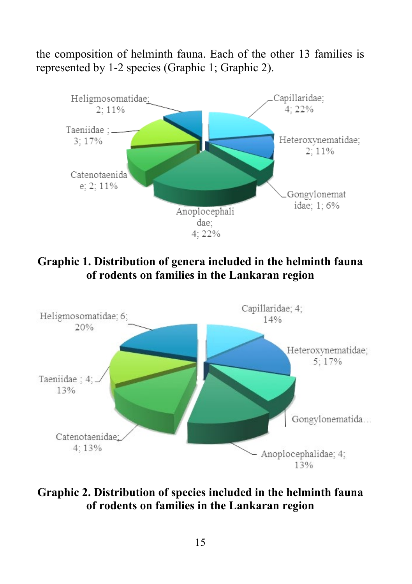the composition of helminth fauna. Each of the other 13 families is represented by 1-2 species (Graphic 1; Graphic 2).



**Graphic 1. Distribution of genera included in the helminth fauna of rodents on families in the Lankaran region**



**Graphic 2. Distribution of species included in the helminth fauna of rodents on families in the Lankaran region**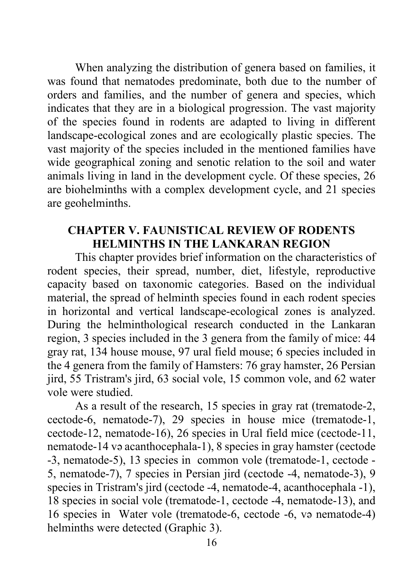When analyzing the distribution of genera based on families, it was found that nematodes predominate, both due to the number of orders and families, and the number of genera and species, which indicates that they are in a biological progression. The vast majority of the species found in rodents are adapted to living in different landscape-ecological zones and are ecologically plastic species. The vast majority of the species included in the mentioned families have wide geographical zoning and senotic relation to the soil and water animals living in land in the development cycle. Of these species, 26 are biohelminths with a complex development cycle, and 21 species are geohelminths.

#### **CHAPTER V. FAUNISTICAL REVIEW OF RODENTS HELMINTHS IN THE LANKARAN REGION**

This chapter provides brief information on the characteristics of rodent species, their spread, number, diet, lifestyle, reproductive capacity based on taxonomic categories. Based on the individual material, the spread of helminth species found in each rodent species in horizontal and vertical landscape-ecological zones is analyzed. During the helminthological research conducted in the Lankaran region, 3 species included in the 3 genera from the family of mice: 44 gray rat, 134 house mouse, 97 ural field mouse; 6 species included in the 4 genera from the family of Hamsters: 76 gray hamster, 26 Persian jird, 55 Tristram's jird, 63 social vole, 15 common vole, and 62 water vole were studied.

As a result of the research, 15 species in gray rat (trematode-2, cectode-6, nematode-7), 29 species in house mice (trematode-1, cectode-12, nematode-16), 26 species in Ural field mice (cectode-11, nematode-14 və acanthocephala-1), 8 species in gray hamster (cectode -3, nematode-5), 13 species in common vole (trematode-1, cectode - 5, nematode-7), 7 species in Persian jird (cectode -4, nematode-3), 9 species in Tristram's jird (cectode -4, nematode-4, acanthocephala -1), 18 species in social vole (trematode-1, cectode -4, nematode-13), and 16 species in Water vole (trematode-6, cectode -6, və nematode-4) helminths were detected (Graphic 3).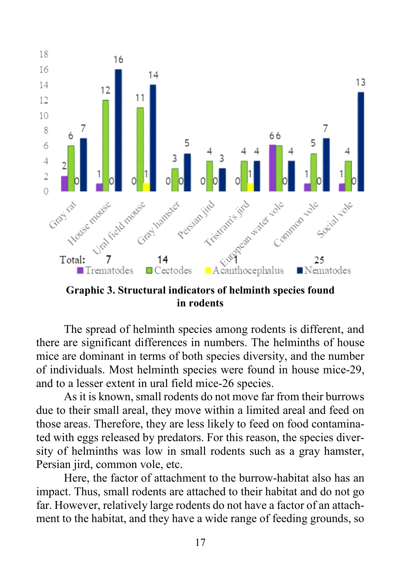

**Graphic 3. Structural indicators of helminth species found in rodents**

The spread of helminth species among rodents is different, and there are significant differences in numbers. The helminths of house mice are dominant in terms of both species diversity, and the number of individuals. Most helminth species were found in house mice-29, and to a lesser extent in ural field mice-26 species.

As it is known, small rodents do not move far from their burrows due to their small areal, they move within a limited areal and feed on those areas. Therefore, they are less likely to feed on food contaminated with eggs released by predators. For this reason, the species diversity of helminths was low in small rodents such as a gray hamster, Persian jird, common vole, etc.

Here, the factor of attachment to the burrow-habitat also has an impact. Thus, small rodents are attached to their habitat and do not go far. However, relatively large rodents do not have a factor of an attachment to the habitat, and they have a wide range of feeding grounds, so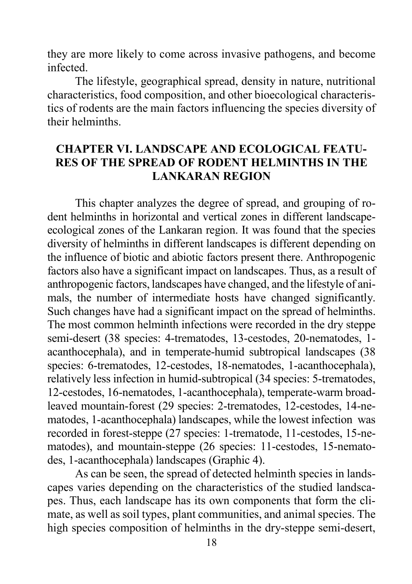they are more likely to come across invasive pathogens, and become infected.

The lifestyle, geographical spread, density in nature, nutritional characteristics, food composition, and other bioecological characteristics of rodents are the main factors influencing the species diversity of their helminths.

#### **CHAPTER VI. LANDSCAPE AND ECOLOGICAL FEATU-RES OF THE SPREAD OF RODENT HELMINTHS IN THE LANKARAN REGION**

This chapter analyzes the degree of spread, and grouping of rodent helminths in horizontal and vertical zones in different landscapeecological zones of the Lankaran region. It was found that the species diversity of helminths in different landscapes is different depending on the influence of biotic and abiotic factors present there. Anthropogenic factors also have a significant impact on landscapes. Thus, as a result of anthropogenic factors, landscapes have changed, and the lifestyle of animals, the number of intermediate hosts have changed significantly. Such changes have had a significant impact on the spread of helminths. The most common helminth infections were recorded in the dry steppe semi-desert (38 species: 4-trematodes, 13-cestodes, 20-nematodes, 1 acanthocephala), and in temperate-humid subtropical landscapes (38 species: 6-trematodes, 12-cestodes, 18-nematodes, 1-acanthocephala), relatively less infection in humid-subtropical (34 species: 5-trematodes, 12-cestodes, 16-nematodes, 1-acanthocephala), temperate-warm broadleaved mountain-forest (29 species: 2-trematodes, 12-cestodes, 14-nematodes, 1-acanthocephala) landscapes, while the lowest infection was recorded in forest-steppe (27 species: 1-trematode, 11-cestodes, 15-nematodes), and mountain-steppe (26 species: 11-cestodes, 15-nematodes, 1-acanthocephala) landscapes (Graphic 4).

As can be seen, the spread of detected helminth species in landscapes varies depending on the characteristics of the studied landscapes. Thus, each landscape has its own components that form the climate, as well as soil types, plant communities, and animal species. The high species composition of helminths in the dry-steppe semi-desert,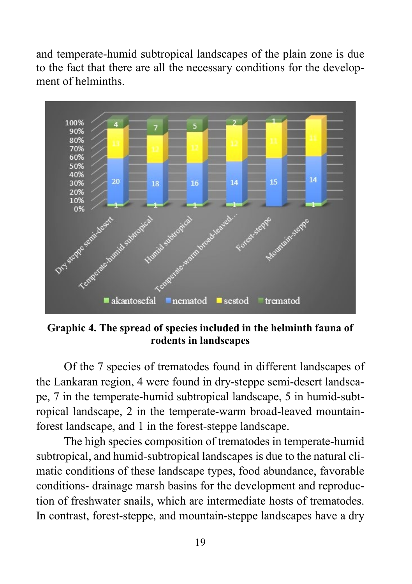and temperate-humid subtropical landscapes of the plain zone is due to the fact that there are all the necessary conditions for the development of helminths.



**Graphic 4. The spread of species included in the helminth fauna of rodents in landscapes**

Of the 7 species of trematodes found in different landscapes of the Lankaran region, 4 were found in dry-steppe semi-desert landscape, 7 in the temperate-humid subtropical landscape, 5 in humid-subtropical landscape, 2 in the temperate-warm broad-leaved mountainforest landscape, and 1 in the forest-steppe landscape.

The high species composition of trematodes in temperate-humid subtropical, and humid-subtropical landscapes is due to the natural climatic conditions of these landscape types, food abundance, favorable conditions- drainage marsh basins for the development and reproduction of freshwater snails, which are intermediate hosts of trematodes. In contrast, forest-steppe, and mountain-steppe landscapes have a dry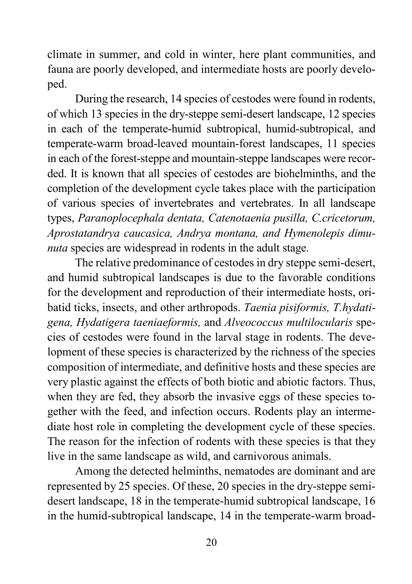climate in summer, and cold in winter, here plant communities, and fauna are poorly developed, and intermediate hosts are poorly developed.

During the research, 14 species of cestodes were found in rodents, of which 13 species in the dry-steppe semi-desert landscape, 12 species in each of the temperate-humid subtropical, humid-subtropical, and temperate-warm broad-leaved mountain-forest landscapes, 11 species in each of the forest-steppe and mountain-steppe landscapes were recorded. It is known that all species of cestodes are biohelminths, and the completion of the development cycle takes place with the participation of various species of invertebrates and vertebrates. In all landscape types, *Paranoplocephala dentata, Catenotaenia pusilla, C.cricetorum, Aprostatandrya caucasica, Andrya montana, and Hymenolepis dimunuta* species are widespread in rodents in the adult stage.

The relative predominance of cestodes in dry steppe semi-desert, and humid subtropical landscapes is due to the favorable conditions for the development and reproduction of their intermediate hosts, oribatid ticks, insects, and other arthropods. *Taenia pisiformis, T.hydatigena, Hydatigera taeniaeformis,* and *Alveococcus multilocularis* species of cestodes were found in the larval stage in rodents. The development of these species is characterized by the richness of the species composition of intermediate, and definitive hosts and these species are very plastic against the effects of both biotic and abiotic factors. Thus, when they are fed, they absorb the invasive eggs of these species together with the feed, and infection occurs. Rodents play an intermediate host role in completing the development cycle of these species. The reason for the infection of rodents with these species is that they live in the same landscape as wild, and carnivorous animals.

Among the detected helminths, nematodes are dominant and are represented by 25 species. Of these, 20 species in the dry-steppe semidesert landscape, 18 in the temperate-humid subtropical landscape, 16 in the humid-subtropical landscape, 14 in the temperate-warm broad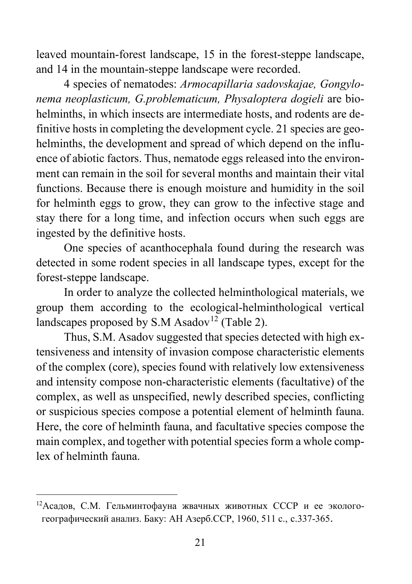leaved mountain-forest landscape, 15 in the forest-steppe landscape, and 14 in the mountain-steppe landscape were recorded.

4 species of nematodes: *Armocapillaria sadovskajae, Gongylonema neoplasticum, G.problematicum, Physaloptera dogieli* are biohelminths, in which insects are intermediate hosts, and rodents are definitive hosts in completing the development cycle. 21 species are geohelminths, the development and spread of which depend on the influence of abiotic factors. Thus, nematode eggs released into the environment can remain in the soil for several months and maintain their vital functions. Because there is enough moisture and humidity in the soil for helminth eggs to grow, they can grow to the infective stage and stay there for a long time, and infection occurs when such eggs are ingested by the definitive hosts.

One species of acanthocephala found during the research was detected in some rodent species in all landscape types, except for the forest-steppe landscape.

In order to analyze the collected helminthological materials, we group them according to the ecological-helminthological vertical landscapes proposed by S.M Asadov<sup>[12](#page-20-0)</sup> (Table 2).

Thus, S.M. Asadov suggested that species detected with high extensiveness and intensity of invasion compose characteristic elements of the complex (core), species found with relatively low extensiveness and intensity compose non-characteristic elements (facultative) of the complex, as well as unspecified, newly described species, conflicting or suspicious species compose a potential element of helminth fauna. Here, the core of helminth fauna, and facultative species compose the main complex, and together with potential species form a whole complex of helminth fauna.

 $\overline{\phantom{a}}$ 

<span id="page-20-0"></span><sup>12</sup>Асадов, С.М. Гельминтофауна жвачных животных СССР и ее экологогеографический анализ. Баку: АН Азерб.ССР, 1960, 511 с., с.337-365.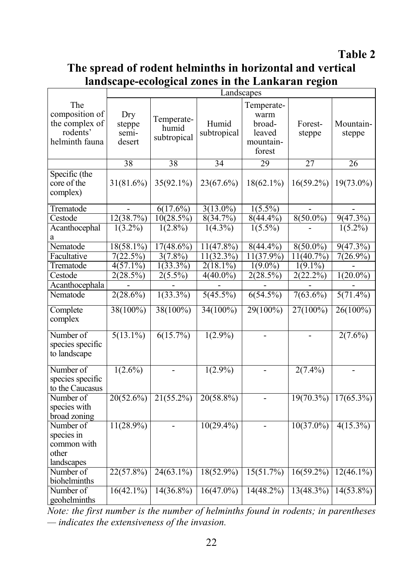#### **Table 2**

#### **The spread of rodent helminths in horizontal and vertical landscape-ecological zones in the Lankaran region**

|                                                                       | Landscapes                       |                                    |                      |                                                               |                   |                     |
|-----------------------------------------------------------------------|----------------------------------|------------------------------------|----------------------|---------------------------------------------------------------|-------------------|---------------------|
| The<br>composition of<br>the complex of<br>rodents'<br>helminth fauna | Dry<br>steppe<br>semi-<br>desert | Temperate-<br>humid<br>subtropical | Humid<br>subtropical | Temperate-<br>warm<br>broad-<br>leaved<br>mountain-<br>forest | Forest-<br>steppe | Mountain-<br>steppe |
|                                                                       | 38                               | 38                                 | $\overline{34}$      | 29                                                            | 27                | $\overline{26}$     |
| Specific (the<br>core of the<br>complex)                              | 31(81.6%)                        | 35(92.1%)                          | 23(67.6%)            | $18(62.1\%)$                                                  | $16(59.2\%)$      | 19(73.0%)           |
| Trematode                                                             |                                  | $6(17.6\%)$                        | $3(13.0\%)$          | $1(5.5\%)$                                                    |                   |                     |
| Cestode                                                               | 12(38.7%)                        | 10(28.5%)                          | 8(34.7%)             | $8(44.4\%)$                                                   | $8(50.0\%)$       | 9(47.3%)            |
| Acanthocephal                                                         | $1(3.2\%)$                       | $1(2.8\%)$                         | $1(4.3\%)$           | $1(5.5\%)$                                                    |                   | $1(5.2\%)$          |
| a                                                                     |                                  |                                    |                      |                                                               |                   |                     |
| Nematode                                                              | 18(58.1%)                        | 17(48.6%)                          | $11(47.8\%)$         | $8(44.4\%)$                                                   | $8(50.0\%)$       | $9(47.3\%)$         |
| Facultative                                                           | 7(22.5%)                         | $3(7.8\%)$                         | 11(32.3%)            | 11(37.9%)                                                     | 11(40.7%)         | $7(26.9\%)$         |
| Trematode                                                             | $4(57.1\%)$                      | $1(33.3\%)$                        | $2(18.1\%)$          | $1(9.0\%)$                                                    | $1(9.1\%)$        |                     |
| Cestode                                                               | 2(28.5%)                         | $2(5.5\%)$                         | $4(40.0\%)$          | 2(28.5%)                                                      | 2(22.2%)          | $1(20.0\%)$         |
| Acanthocephala                                                        |                                  |                                    |                      |                                                               |                   |                     |
| Nematode                                                              | $2(28.6\%)$                      | $1(33.3\%)$                        | $5(45.5\%)$          | $6(54.5\%)$                                                   | $7(63.6\%)$       | $5(71.4\%)$         |
| Complete<br>complex                                                   | $38(100\%)$                      | $38(100\%)$                        | 34(100%)             | $29(100\%)$                                                   | $27(100\%)$       | $26(100\%)$         |
| Number of<br>species specific<br>to landscape                         | $5(13.1\%)$                      | 6(15.7%)                           | $1(2.9\%)$           | $\overline{\phantom{0}}$                                      |                   | $2(7.6\%)$          |
| Number of<br>species specific<br>to the Caucasus                      | $1(2.6\%)$                       | $\overline{\phantom{a}}$           | $1(2.9\%)$           | $\overline{a}$                                                | $2(7.4\%)$        | $\blacksquare$      |
| Number of<br>species with<br>broad zoning                             | 20(52.6%)                        | 21(55.2%)                          | 20(58.8%)            | $\overline{a}$                                                | $19(70.3\%)$      | $17(65.3\%)$        |
| Number of<br>species in<br>common with<br>other<br>landscapes         | $11(28.9\%)$                     | $\overline{\phantom{a}}$           | $10(29.4\%)$         | $\overline{a}$                                                | $10(37.0\%)$      | $4(15.3\%)$         |
| Number of<br>biohelminths                                             | $22(57.8\%)$                     | $24(63.1\%)$                       | $18(52.9\%)$         | 15(51.7%)                                                     | $16(59.2\%)$      | $12(46.1\%)$        |
| Number of<br>geohelminths                                             | $16(42.1\%)$                     | $14(36.8\%)$                       | $16(47.0\%)$         | $14(48.2\%)$                                                  | 13(48.3%)         | $14(53.8\%)$        |

*Note: the first number is the number of helminths found in rodents; in parentheses — indicates the extensiveness of the invasion.*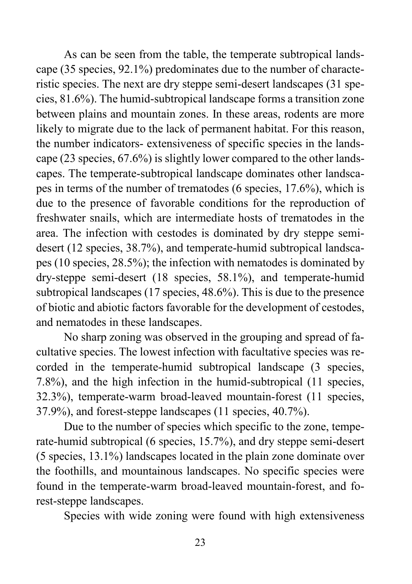As can be seen from the table, the temperate subtropical landscape (35 species, 92.1%) predominates due to the number of characteristic species. The next are dry steppe semi-desert landscapes (31 species, 81.6%). The humid-subtropical landscape forms a transition zone between plains and mountain zones. In these areas, rodents are more likely to migrate due to the lack of permanent habitat. For this reason, the number indicators- extensiveness of specific species in the landscape (23 species, 67.6%) is slightly lower compared to the other landscapes. The temperate-subtropical landscape dominates other landscapes in terms of the number of trematodes (6 species, 17.6%), which is due to the presence of favorable conditions for the reproduction of freshwater snails, which are intermediate hosts of trematodes in the area. The infection with cestodes is dominated by dry steppe semidesert (12 species, 38.7%), and temperate-humid subtropical landscapes (10 species, 28.5%); the infection with nematodes is dominated by dry-steppe semi-desert (18 species, 58.1%), and temperate-humid subtropical landscapes (17 species, 48.6%). This is due to the presence of biotic and abiotic factors favorable for the development of cestodes, and nematodes in these landscapes.

No sharp zoning was observed in the grouping and spread of facultative species. The lowest infection with facultative species was recorded in the temperate-humid subtropical landscape (3 species, 7.8%), and the high infection in the humid-subtropical (11 species, 32.3%), temperate-warm broad-leaved mountain-forest (11 species, 37.9%), and forest-steppe landscapes (11 species, 40.7%).

Due to the number of species which specific to the zone, temperate-humid subtropical (6 species, 15.7%), and dry steppe semi-desert (5 species, 13.1%) landscapes located in the plain zone dominate over the foothills, and mountainous landscapes. No specific species were found in the temperate-warm broad-leaved mountain-forest, and forest-steppe landscapes.

Species with wide zoning were found with high extensiveness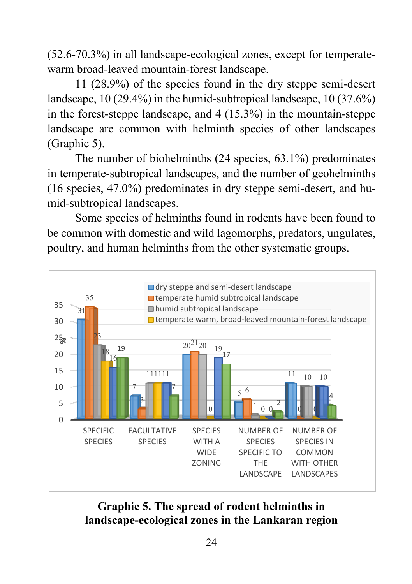(52.6-70.3%) in all landscape-ecological zones, except for temperatewarm broad-leaved mountain-forest landscape.

11 (28.9%) of the species found in the dry steppe semi-desert landscape, 10 (29.4%) in the humid-subtropical landscape, 10 (37.6%) in the forest-steppe landscape, and 4 (15.3%) in the mountain-steppe landscape are common with helminth species of other landscapes (Graphic 5).

The number of biohelminths (24 species, 63.1%) predominates in temperate-subtropical landscapes, and the number of geohelminths (16 species, 47.0%) predominates in dry steppe semi-desert, and humid-subtropical landscapes.

Some species of helminths found in rodents have been found to be common with domestic and wild lagomorphs, predators, ungulates, poultry, and human helminths from the other systematic groups.



# **Graphic 5. The spread of rodent helminths in landscape-ecological zones in the Lankaran region**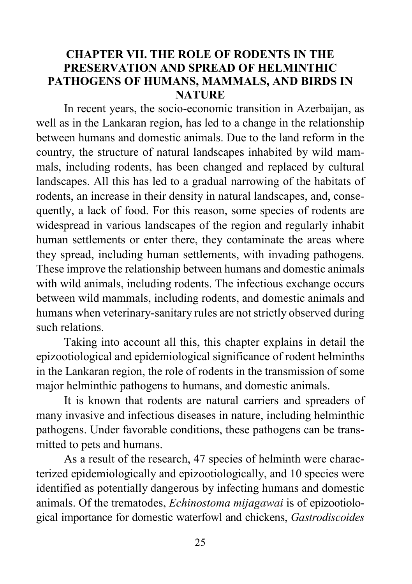### **CHAPTER VII. THE ROLE OF RODENTS IN THE PRESERVATION AND SPREAD OF HELMINTHIC PATHOGENS OF HUMANS, MAMMALS, AND BIRDS IN NATURE**

In recent years, the socio-economic transition in Azerbaijan, as well as in the Lankaran region, has led to a change in the relationship between humans and domestic animals. Due to the land reform in the country, the structure of natural landscapes inhabited by wild mammals, including rodents, has been changed and replaced by cultural landscapes. All this has led to a gradual narrowing of the habitats of rodents, an increase in their density in natural landscapes, and, consequently, a lack of food. For this reason, some species of rodents are widespread in various landscapes of the region and regularly inhabit human settlements or enter there, they contaminate the areas where they spread, including human settlements, with invading pathogens. These improve the relationship between humans and domestic animals with wild animals, including rodents. The infectious exchange occurs between wild mammals, including rodents, and domestic animals and humans when veterinary-sanitary rules are not strictly observed during such relations.

Taking into account all this, this chapter explains in detail the epizootiological and epidemiological significance of rodent helminths in the Lankaran region, the role of rodents in the transmission of some major helminthic pathogens to humans, and domestic animals.

It is known that rodents are natural carriers and spreaders of many invasive and infectious diseases in nature, including helminthic pathogens. Under favorable conditions, these pathogens can be transmitted to pets and humans.

As a result of the research, 47 species of helminth were characterized epidemiologically and epizootiologically, and 10 species were identified as potentially dangerous by infecting humans and domestic animals. Of the trematodes, *Echinostoma mijagawai* is of epizootiological importance for domestic waterfowl and chickens, *Gastrodiscoides*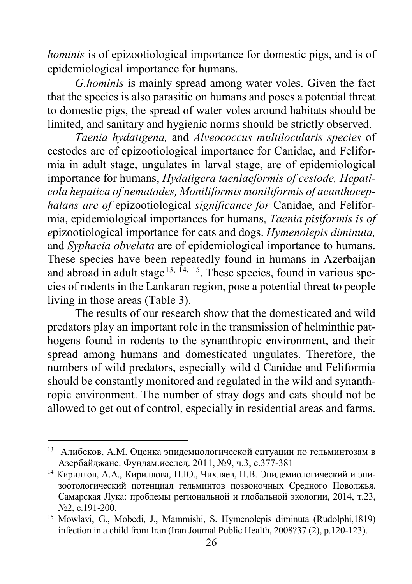*hominis* is of epizootiological importance for domestic pigs, and is of epidemiological importance for humans.

*G.hominis* is mainly spread among water voles. Given the fact that the species is also parasitic on humans and poses a potential threat to domestic pigs, the spread of water voles around habitats should be limited, and sanitary and hygienic norms should be strictly observed.

*Taenia hydatigena,* and *Alveococcus multilocularis species* of cestodes are of epizootiological importance for Canidae, and Feliformia in adult stage, ungulates in larval stage, are of epidemiological importance for humans, *Hydatigera taeniaeformis of cestode, Hepaticola hepatica of nematodes, Moniliformis moniliformis of acanthocephalans are of* epizootiological *significance for* Canidae, and Feliformia, epidemiological importances for humans, *Taenia pisiformis is of e*pizootiological importance for cats and dogs. *Hymenolepis diminuta,* and *Syphacia obvelata* are of epidemiological importance to humans. These species have been repeatedly found in humans in Azerbaijan and abroad in adult stage<sup>[13,](#page-25-0) [14](#page-25-1), 15</sup>. These species, found in various species of rodents in the Lankaran region, pose a potential threat to people living in those areas (Table 3).

The results of our research show that the domesticated and wild predators play an important role in the transmission of helminthic pathogens found in rodents to the synanthropic environment, and their spread among humans and domesticated ungulates. Therefore, the numbers of wild predators, especially wild d Canidae and Feliformia should be constantly monitored and regulated in the wild and synanthropic environment. The number of stray dogs and cats should not be allowed to get out of control, especially in residential areas and farms.

 $\overline{a}$ 

<span id="page-25-0"></span><sup>13</sup> Алибеков, А.М. Оценка эпидемиологической ситуации по гельминтозам в Азербайджане. Фундам.исслед. 2011, №9, ч.3, с.377-381

<span id="page-25-1"></span><sup>14</sup> Кириллов, А.А., Кириллова, Н.Ю., Чихляев, Н.В. Эпидемиологический и эпизоотологический потенциал гельминтов позвоночных Средного Поволжья. Самарская Лука: проблемы региональной и глобальной экологии, 2014, т.23, №2, с.191-200.

<span id="page-25-2"></span><sup>15</sup> Mowlavi, G., Mobedi, J., Mammishi, S. Hymenolepis diminuta (Rudolphi,1819) infection in a child from Iran (Iran Journal Public Health, 2008?37 (2), p.120-123).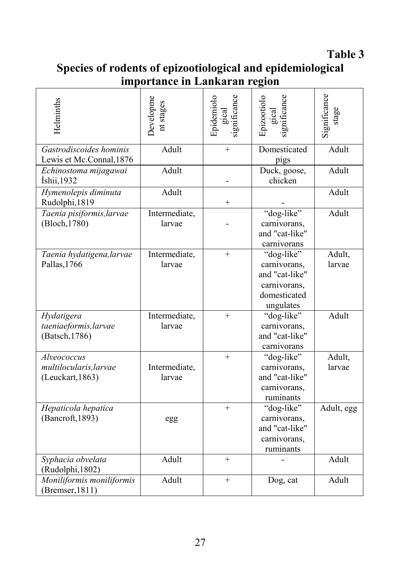**Table 3**

| Species of rodents of epizootiological and epidemiological |  |
|------------------------------------------------------------|--|
| importance in Lankaran region                              |  |

| Helminths                                                 | <b>Developme</b><br>nt stages | Epidemiolo<br>gical<br>significance | ignificance<br>Epizootiolo<br>gical                                                       | Significance<br>stage |
|-----------------------------------------------------------|-------------------------------|-------------------------------------|-------------------------------------------------------------------------------------------|-----------------------|
| Gastrodiscoides hominis<br>Lewis et Mc.Connal, 1876       | Adult                         | $^{+}$                              | Domesticated<br>pigs                                                                      | Adult                 |
| Echinostoma mijagawai<br>İshii, 1932                      | Adult                         |                                     | Duck, goose,<br>chicken                                                                   | Adult                 |
| Hymenolepis diminuta<br>Rudolphi, 1819                    | Adult                         | $^{+}$                              |                                                                                           | Adult                 |
| Taenia pisiformis, larvae<br>(Bloch, 1780)                | Intermediate,<br>larvae       |                                     | "dog-like"<br>carnivorans,<br>and "cat-like"<br>carnivorans                               | Adult                 |
| Taenia hydatigena, larvae<br>Pallas, 1766                 | Intermediate,<br>larvae       | $^{+}$                              | "dog-like"<br>carnivorans,<br>and "cat-like"<br>carnivorans,<br>domesticated<br>ungulates | Adult,<br>larvae      |
| Hydatigera<br>taeniaeformis, larvae<br>(Batsch, 1786)     | Intermediate,<br>larvae       | $+$                                 | "dog-like"<br>carnivorans,<br>and "cat-like"<br>carnivorans                               | Adult                 |
| Alveococcus<br>multilocularis, larvae<br>(Leuckart, 1863) | Intermediate,<br>larvae       | $+$                                 | "dog-like"<br>carnivorans,<br>and "cat-like"<br>carnivorans,<br>ruminants                 | Adult,<br>larvae      |
| Hepaticola hepatica<br>(Bancroft, 1893)                   | egg                           | $\ddot{}$                           | "dog-like"<br>carnivorans,<br>and "cat-like"<br>carnivorans,<br>ruminants                 | Adult, egg            |
| Syphacia obvelata<br>(Rudolphi, 1802)                     | Adult                         | $+$                                 |                                                                                           | Adult                 |
| Moniliformis moniliformis<br>$(B$ remser, 1811)           | Adult                         | $^{+}$                              | Dog, cat                                                                                  | Adult                 |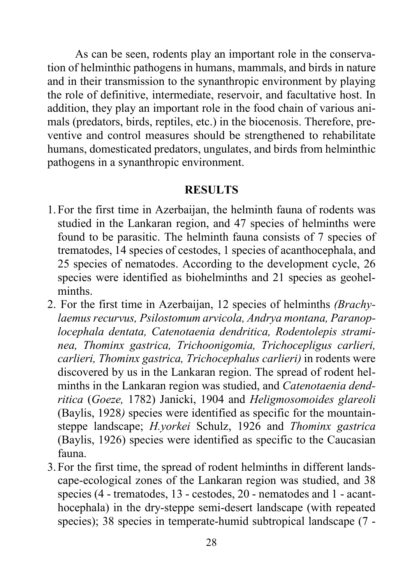As can be seen, rodents play an important role in the conservation of helminthic pathogens in humans, mammals, and birds in nature and in their transmission to the synanthropic environment by playing the role of definitive, intermediate, reservoir, and facultative host. In addition, they play an important role in the food chain of various animals (predators, birds, reptiles, etc.) in the biocenosis. Therefore, preventive and control measures should be strengthened to rehabilitate humans, domesticated predators, ungulates, and birds from helminthic pathogens in a synanthropic environment.

#### **RESULTS**

- 1.For the first time in Azerbaijan, the helminth fauna of rodents was studied in the Lankaran region, and 47 species of helminths were found to be parasitic. The helminth fauna consists of 7 species of trematodes, 14 species of cestodes, 1 species of acanthocephala, and 25 species of nematodes. According to the development cycle, 26 species were identified as biohelminths and 21 species as geohelminths.
- 2. For the first time in Azerbaijan, 12 species of helminths *(Brachylaemus recurvus, Psilostomum arvicola, Andrya montana, Paranoplocephala dentata, Catenotaenia dendritica, Rodentolepis straminea, Thominx gastrica, Trichoonigomia, Trichocepligus carlieri, carlieri, Thominx gastrica, Trichocephalus carlieri)* in rodents were discovered by us in the Lankaran region. The spread of rodent helminths in the Lankaran region was studied, and *Catenotaenia dendritica* (*Goeze,* 1782) Janicki, 1904 and *Heligmosomoides glareoli* (Baylis, 1928*)* species were identified as specific for the mountainsteppe landscape; *H.yorkei* Schulz, 1926 and *Thominx gastrica* (Baylis, 1926) species were identified as specific to the Caucasian fauna.
- 3.For the first time, the spread of rodent helminths in different landscape-ecological zones of the Lankaran region was studied, and 38 species (4 - trematodes, 13 - cestodes, 20 - nematodes and 1 - acanthocephala) in the dry-steppe semi-desert landscape (with repeated species); 38 species in temperate-humid subtropical landscape (7 -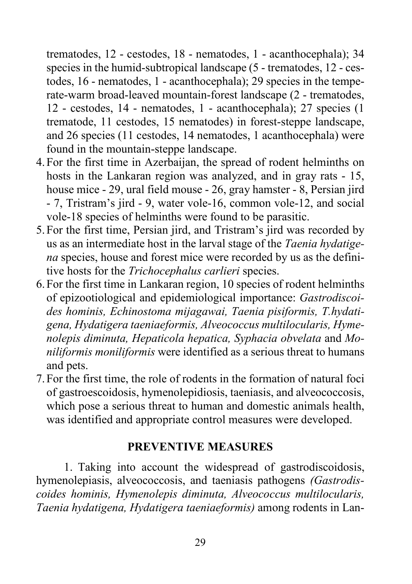trematodes, 12 - cestodes, 18 - nematodes, 1 - acanthocephala); 34 species in the humid-subtropical landscape (5 - trematodes, 12 - cestodes, 16 - nematodes, 1 - acanthocephala); 29 species in the temperate-warm broad-leaved mountain-forest landscape (2 - trematodes, 12 - cestodes, 14 - nematodes, 1 - acanthocephala); 27 species (1 trematode, 11 cestodes, 15 nematodes) in forest-steppe landscape, and 26 species (11 cestodes, 14 nematodes, 1 acanthocephala) were found in the mountain-steppe landscape.

- 4.For the first time in Azerbaijan, the spread of rodent helminths on hosts in the Lankaran region was analyzed, and in gray rats - 15, house mice - 29, ural field mouse - 26, gray hamster - 8, Persian jird - 7, Tristram's jird - 9, water vole-16, common vole-12, and social vole-18 species of helminths were found to be parasitic.
- 5.For the first time, Persian jird, and Tristram's jird was recorded by us as an intermediate host in the larval stage of the *Taenia hydatigena* species, house and forest mice were recorded by us as the definitive hosts for the *Trichocephalus carlieri* species.
- 6.For the first time in Lankaran region, 10 species of rodent helminths of epizootiological and epidemiological importance: *Gastrodiscoides hominis, Echinostoma mijagawai, Taenia pisiformis, T.hydatigena, Hydatigera taeniaeformis, Alveococcus multilocularis, Hymenolepis diminuta, Hepaticola hepatica, Syphacia obvelata* and *Moniliformis moniliformis* were identified as a serious threat to humans and pets.
- 7.For the first time, the role of rodents in the formation of natural foci of gastroescoidosis, hymenolepidiosis, taeniasis, and alveococcosis, which pose a serious threat to human and domestic animals health, was identified and appropriate control measures were developed.

#### **PREVENTIVE MEASURES**

1. Taking into account the widespread of gastrodiscoidosis, hymenolepiasis, alveococcosis, and taeniasis pathogens *(Gastrodiscoides hominis, Hymenolepis diminuta, Alveococcus multilocularis, Taenia hydatigena, Hydatigera taeniaeformis)* among rodents in Lan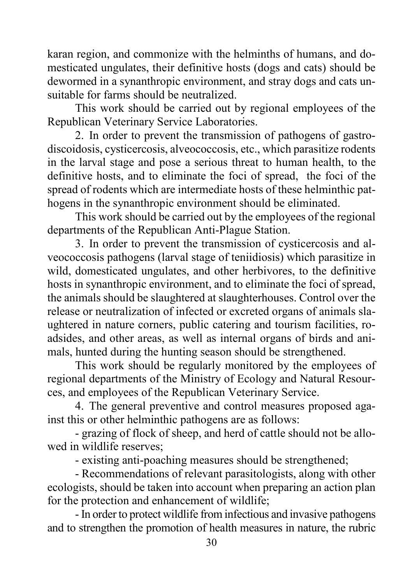karan region, and commonize with the helminths of humans, and domesticated ungulates, their definitive hosts (dogs and cats) should be dewormed in a synanthropic environment, and stray dogs and cats unsuitable for farms should be neutralized.

This work should be carried out by regional employees of the Republican Veterinary Service Laboratories.

2. In order to prevent the transmission of pathogens of gastrodiscoidosis, cysticercosis, alveococcosis, etc., which parasitize rodents in the larval stage and pose a serious threat to human health, to the definitive hosts, and to eliminate the foci of spread, the foci of the spread of rodents which are intermediate hosts of these helminthic pathogens in the synanthropic environment should be eliminated.

This work should be carried out by the employees of the regional departments of the Republican Anti-Plague Station.

3. In order to prevent the transmission of cysticercosis and alveococcosis pathogens (larval stage of teniidiosis) which parasitize in wild, domesticated ungulates, and other herbivores, to the definitive hosts in synanthropic environment, and to eliminate the foci of spread, the animals should be slaughtered at slaughterhouses. Control over the release or neutralization of infected or excreted organs of animals slaughtered in nature corners, public catering and tourism facilities, roadsides, and other areas, as well as internal organs of birds and animals, hunted during the hunting season should be strengthened.

This work should be regularly monitored by the employees of regional departments of the Ministry of Ecology and Natural Resources, and employees of the Republican Veterinary Service.

4. The general preventive and control measures proposed against this or other helminthic pathogens are as follows:

- grazing of flock of sheep, and herd of cattle should not be allowed in wildlife reserves;

- existing anti-poaching measures should be strengthened;

- Recommendations of relevant parasitologists, along with other ecologists, should be taken into account when preparing an action plan for the protection and enhancement of wildlife;

- In order to protect wildlife from infectious and invasive pathogens and to strengthen the promotion of health measures in nature, the rubric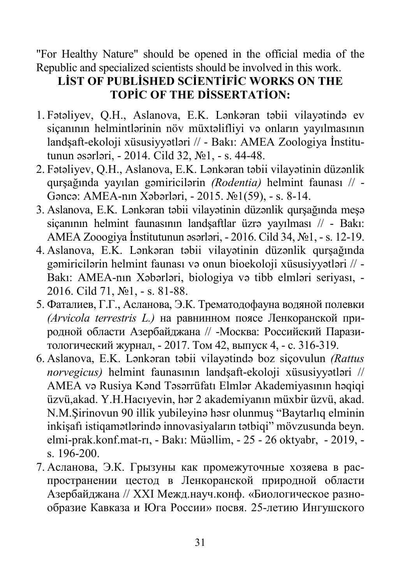"For Healthy Nature" should be opened in the official media of the Republic and specialized scientists should be involved in this work.

# **LİST OF PUBLİSHED SCİENTİFİC WORKS ON THE TOPİC OF THE DİSSERTATİON:**

- 1. Fətəliyev, Q.H., Aslanova, E.K. Lənkəran təbii vilayətində ev siçanının helmintlərinin növ müxtəlifliyi və onların yayılmasının landşaft-ekoloji xüsusiyyətləri // - Bakı: AMEA Zoologiya İnstitutunun əsərləri, - 2014. Cild 32, №1, - s. 44-48.
- 2. Fətəliyev, Q.H., Aslanova, E.K. Lənkəran təbii vilayətinin düzənlik qurşağında yayılan gəmiricilərin *(Rodentia)* helmint faunası // - Gəncə: AMEA-nın Xəbərləri, - 2015. №1(59), - s. 8-14.
- 3. Aslanova, E.K. Lənkəran təbii vilayətinin düzənlik qurşağında meşə siçanının helmint faunasının landşaftlar üzrə yayılması // - Bakı: AMEA Zooogiya İnstitutunun əsərləri, - 2016. Cild 34, №1, - s. 12-19.
- 4. Aslanova, E.K. Lənkəran təbii vilayətinin düzənlik qurşağında gəmiricilərin helmint faunası və onun bioekoloji xüsusiyyətləri // - Bakı: AMEA-nın Xəbərləri, biologiya və tibb elmləri seriyası, - 2016. Cild 71, №1, - s. 81-88.
- 5. Фаталиев, Г.Г., Асланова, Э.К. Трематодофауна водяной полевки *(Arvicola terrestris L.)* на равнинном поясе Ленкоранской природной области Азербайджана // -Москва: Российский Паразитологический журнал, - 2017. Том 42, выпуск 4, - с. 316-319.
- 6. Aslanova, E.K. Lənkəran təbii vilayətində boz siçovulun *(Rattus norvegicus)* helmint faunasının landşaft-ekoloji xüsusiyyətləri // AMEA və Rusiya Kənd Təsərrüfatı Elmlər Akademiyasının həqiqi üzvü,akad. Y.H.Hacıyevin, hər 2 akademiyanın müxbir üzvü, akad. N.M.Şirinovun 90 illik yubileyinə həsr olunmuş "Baytarlıq elminin inkişafı istiqamətlərində innovasiyaların tətbiqi" mövzusunda beyn. elmi-prak.konf.mat-rı, - Bakı: Müəllim, - 25 - 26 oktyabr, - 2019, s. 196-200.
- 7. Асланова, Э.К. Грызуны как промежуточные хозяева в распространении цестод в Ленкоранской природной области Азербайджана // XXI Межд.науч.конф. «Биологическое разнообразие Кавказа и Юга России» посвя. 25-летию Ингушского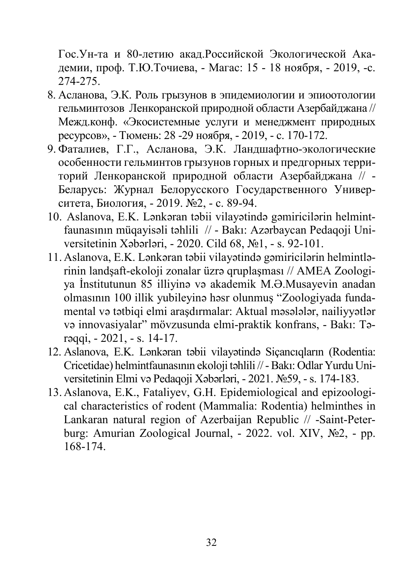Гос.Ун-та и 80-летию акад.Российской Экологической Академии, проф. Т.Ю.Точиева, - Магас: 15 - 18 ноября, - 2019, -с. 274-275.

- 8. Асланова, Э.К. Роль грызунов в эпидемиологии и эпиоотологии гельминтозов Ленкоранской природной области Азербайджана // Межд.конф. «Экосистемные услуги и менеджмент природных ресурсов», - Тюмень: 28 -29 ноября, - 2019, - с. 170-172.
- 9. Фаталиев, Г.Г., Асланова, Э.К. Ландшафтно-экологические особенности гельминтов грызунов горных и предгорных территорий Ленкоранской природной области Азербайджана // - Беларусь: Журнал Белорусского Государственного Университета, Биология, - 2019. №2, - с. 89-94.
- 10. Aslanova, E.K. Lənkəran təbii vilayətində gəmiricilərin helmintfaunasının müqayisəli təhlili // - Bakı: Azərbaycan Pedaqoji Universitetinin Xəbərləri, - 2020. Cild 68, №1, - s. 92-101.
- 11. Aslanova, E.K. Lənkəran təbii vilayətində gəmiricilərin helmintlərinin landşaft-ekoloji zonalar üzrə qruplaşması // AMEA Zoologiya İnstitutunun 85 illiyinə və akademik M.Ə.Musayevin anadan olmasının 100 illik yubileyinə həsr olunmuş "Zoologiyada fundamental və tətbiqi elmi araşdırmalar: Aktual məsələlər, nailiyyətlər və innovasiyalar" mövzusunda elmi-praktik konfrans, - Bakı: Tərəqqi, - 2021, - s. 14-17.
- 12. Aslanova, E.K. Lənkəran təbii vilayətində Siçancıqların (Rodentia: Cricetidae) helmintfaunasının ekoloji təhlili // -Bakı: Odlar Yurdu Universitetinin Elmi və Pedaqoji Xəbərləri, - 2021. №59, - s. 174-183.
- 13. Aslanova, E.K., Fataliyev, G.H. Epidemiological and epizoological characteristics of rodent (Mammalia: Rodentia) helminthes in Lankaran natural region of Azerbaijan Republic // -Saint-Peterburg: Amurian Zoological Journal, - 2022. vol. XIV, №2, - pp. 168-174.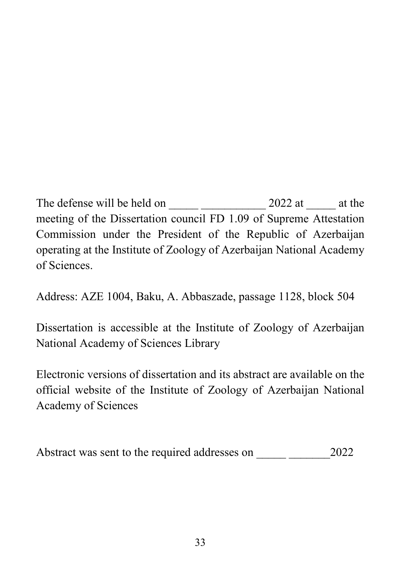The defense will be held on  $10$   $\mu$   $\mu$   $\approx$  2022 at  $12^{\circ}$  at the meeting of the Dissertation council FD 1.09 of Supreme Attestation<br>Commission under the President of the Republic of Azerbaijan  $\frac{1}{2}$  and  $\frac{1}{2}$  is the Dissertation council  $\frac{1}{2}$  of  $\frac{1}{2}$  of  $\frac{1}{2}$  of  $\frac{1}{2}$  of  $\frac{1}{2}$  of  $\frac{1}{2}$  of  $\frac{1}{2}$  of  $\frac{1}{2}$  of  $\frac{1}{2}$  of  $\frac{1}{2}$  of  $\frac{1}{2}$  of  $\frac{1}{2}$  of  $\frac{1}{2}$  or commission under the Republic of Zoology of Azerbaijan National Academy operative of  $\overline{\mathcal{L}}$ 

Address: AZE 1004, Baku, A. Abbaszade, passage 1128, block 504

Dissertation is accessible at the Institute of Zoology of Azerbaijan National Academy of Sciences Library

National Academy of Sciences Library

Electronic versions of dissertation and its abstract are available on the official website of the Institute of Zoology of Azerbaijan National Academy of Sciences

Abstract was sent to the required addresses on  $\frac{CY}{M}$   $M$ ay 2022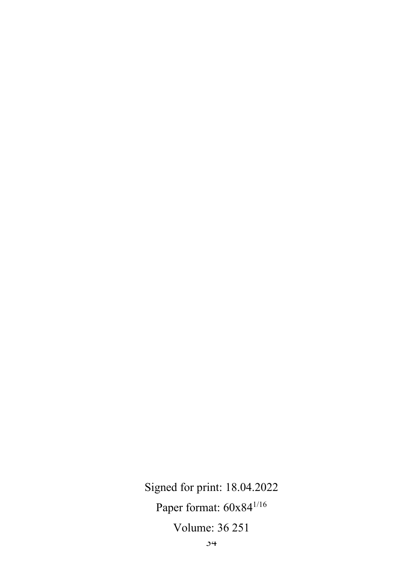Signed for print: 18.04.2022 Paper format:  $60x84^{1/16}$ Volume: 36 251